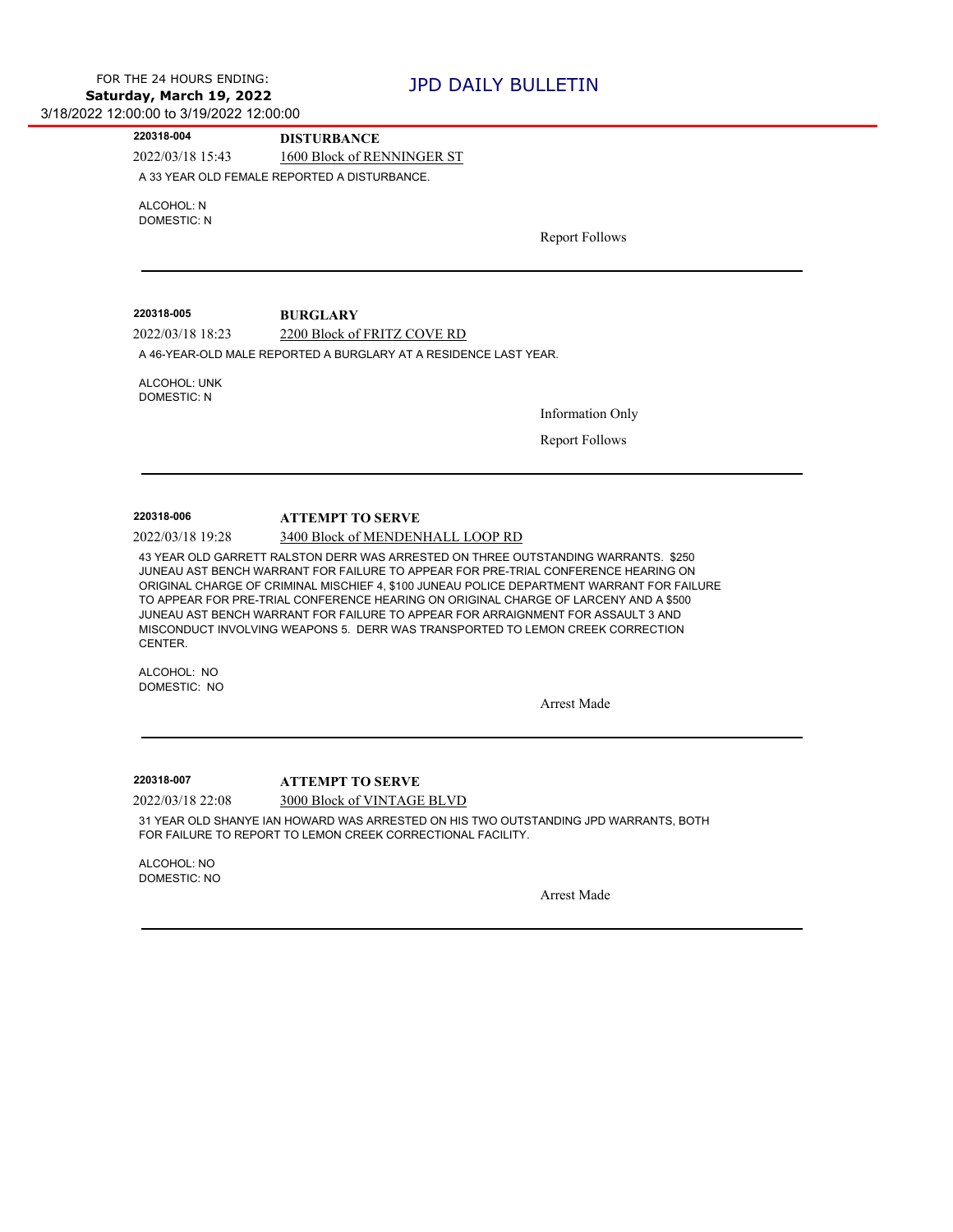2022/03/18 15:43 1600 Block of RENNINGER ST **220318-004 DISTURBANCE** A 33 YEAR OLD FEMALE REPORTED A DISTURBANCE.

ALCOHOL: N DOMESTIC: N

Report Follows

2022/03/18 18:23 2200 Block of FRITZ COVE RD **220318-005 BURGLARY**

A 46-YEAR-OLD MALE REPORTED A BURGLARY AT A RESIDENCE LAST YEAR.

ALCOHOL: UNK DOMESTIC: N

Information Only

Report Follows

## **220318-006 ATTEMPT TO SERVE**

2022/03/18 19:28 3400 Block of MENDENHALL LOOP RD

43 YEAR OLD GARRETT RALSTON DERR WAS ARRESTED ON THREE OUTSTANDING WARRANTS. \$250 JUNEAU AST BENCH WARRANT FOR FAILURE TO APPEAR FOR PRE-TRIAL CONFERENCE HEARING ON ORIGINAL CHARGE OF CRIMINAL MISCHIEF 4, \$100 JUNEAU POLICE DEPARTMENT WARRANT FOR FAILURE TO APPEAR FOR PRE-TRIAL CONFERENCE HEARING ON ORIGINAL CHARGE OF LARCENY AND A \$500 JUNEAU AST BENCH WARRANT FOR FAILURE TO APPEAR FOR ARRAIGNMENT FOR ASSAULT 3 AND MISCONDUCT INVOLVING WEAPONS 5. DERR WAS TRANSPORTED TO LEMON CREEK CORRECTION CENTER.

ALCOHOL: NO DOMESTIC: NO

Arrest Made

**220318-007 ATTEMPT TO SERVE**

2022/03/18 22:08 3000 Block of VINTAGE BLVD

31 YEAR OLD SHANYE IAN HOWARD WAS ARRESTED ON HIS TWO OUTSTANDING JPD WARRANTS, BOTH FOR FAILURE TO REPORT TO LEMON CREEK CORRECTIONAL FACILITY.

ALCOHOL: NO DOMESTIC: NO

Arrest Made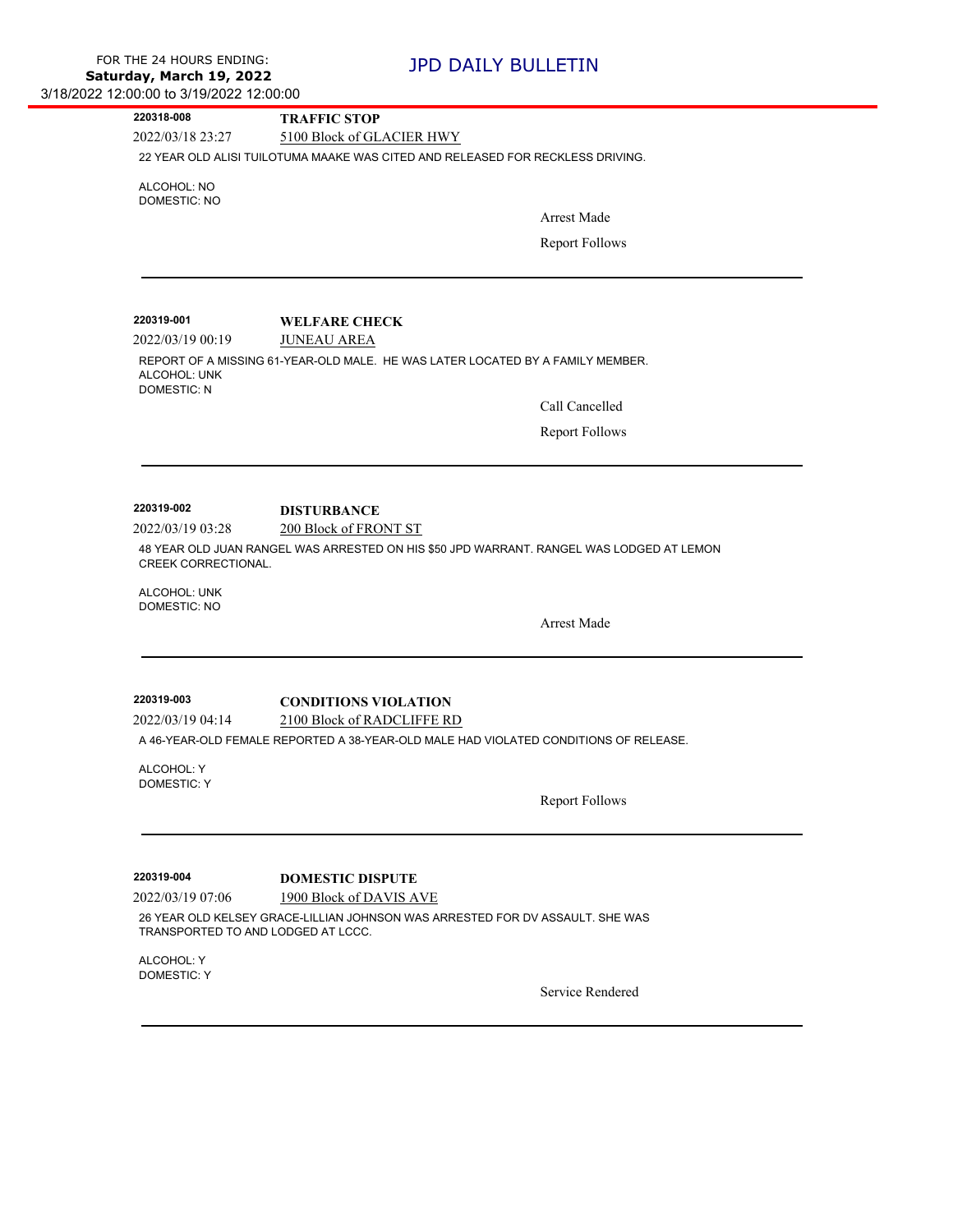| 220318-008                         | <b>TRAFFIC STOP</b>                                                                      |
|------------------------------------|------------------------------------------------------------------------------------------|
| 2022/03/18 23:27                   | 5100 Block of GLACIER HWY                                                                |
|                                    | 22 YEAR OLD ALISI TUILOTUMA MAAKE WAS CITED AND RELEASED FOR RECKLESS DRIVING.           |
| ALCOHOL: NO                        |                                                                                          |
| <b>DOMESTIC: NO</b>                | <b>Arrest Made</b>                                                                       |
|                                    |                                                                                          |
|                                    | <b>Report Follows</b>                                                                    |
|                                    |                                                                                          |
|                                    |                                                                                          |
| 220319-001                         | <b>WELFARE CHECK</b>                                                                     |
| 2022/03/19 00:19                   | <b>JUNEAU AREA</b>                                                                       |
| ALCOHOL: UNK<br><b>DOMESTIC: N</b> | REPORT OF A MISSING 61-YEAR-OLD MALE. HE WAS LATER LOCATED BY A FAMILY MEMBER.           |
|                                    | Call Cancelled                                                                           |
|                                    | <b>Report Follows</b>                                                                    |
|                                    |                                                                                          |
|                                    |                                                                                          |
| 220319-002                         |                                                                                          |
| 2022/03/19 03:28                   | <b>DISTURBANCE</b><br>200 Block of FRONT ST                                              |
|                                    | 48 YEAR OLD JUAN RANGEL WAS ARRESTED ON HIS \$50 JPD WARRANT. RANGEL WAS LODGED AT LEMON |
| CREEK CORRECTIONAL.                |                                                                                          |
| ALCOHOL: UNK                       |                                                                                          |
| <b>DOMESTIC: NO</b>                |                                                                                          |
|                                    | <b>Arrest Made</b>                                                                       |
|                                    |                                                                                          |
|                                    |                                                                                          |
| 220319-003                         | <b>CONDITIONS VIOLATION</b>                                                              |
| 2022/03/19 04:14                   | 2100 Block of RADCLIFFE RD                                                               |
|                                    | A 46-YEAR-OLD FEMALE REPORTED A 38-YEAR-OLD MALE HAD VIOLATED CONDITIONS OF RELEASE.     |
| ALCOHOL: Y                         |                                                                                          |
| <b>DOMESTIC: Y</b>                 | Report Follows                                                                           |
|                                    |                                                                                          |
|                                    |                                                                                          |
|                                    |                                                                                          |
| 220319-004                         | <b>DOMESTIC DISPUTE</b>                                                                  |
| 2022/03/19 07:06                   | 1900 Block of DAVIS AVE                                                                  |
| TRANSPORTED TO AND LODGED AT LCCC. | 26 YEAR OLD KELSEY GRACE-LILLIAN JOHNSON WAS ARRESTED FOR DV ASSAULT. SHE WAS            |
| ALCOHOL: Y                         |                                                                                          |
| <b>DOMESTIC: Y</b>                 | Service Rendered                                                                         |
|                                    |                                                                                          |